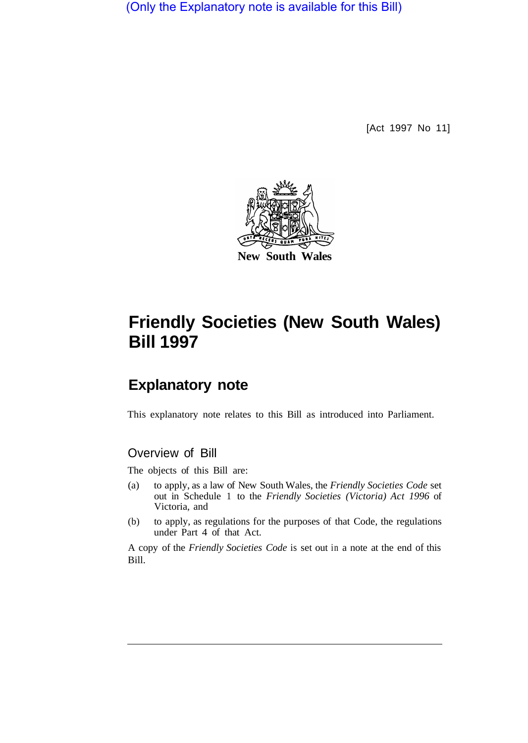(Only the Explanatory note is available for this Bill)

[Act 1997 No 11]



# **Friendly Societies (New South Wales) Bill 1997**

## **Explanatory note**

This explanatory note relates to this Bill as introduced into Parliament.

## Overview of Bill

The objects of this Bill are:

- (a) to apply, as a law of New South Wales, the *Friendly Societies Code* set out in Schedule 1 to the *Friendly Societies (Victoria) Act 1996* of Victoria, and
- (b) to apply, as regulations for the purposes of that Code, the regulations under Part 4 of that Act.

A copy of the *Friendly Societies Code* is set out in a note at the end of this Bill.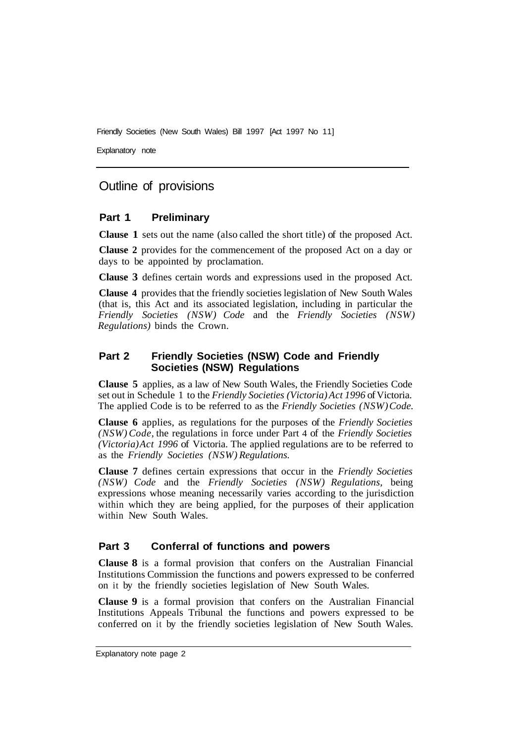Friendly Societies (New South Wales) Bill 1997 [Act 1997 No 11]

Explanatory note

## Outline of provisions

#### **Part 1 Preliminary**

**Clause 1** sets out the name (also called the short title) of the proposed Act.

**Clause 2** provides for the commencement of the proposed Act on a day or days to be appointed by proclamation.

**Clause 3** defines certain words and expressions used in the proposed Act.

**Clause 4** provides that the friendly societies legislation of New South Wales (that is, this Act and its associated legislation, including in particular the *Friendly Societies (NSW) Code* and the *Friendly Societies (NSW) Regulations)* binds the Crown.

#### **Part 2 Friendly Societies (NSW) Code and Friendly Societies (NSW) Regulations**

**Clause 5** applies, as a law of New South Wales, the Friendly Societies Code set out in Schedule 1 to the *Friendly Societies (Victoria) Act 1996* of Victoria. The applied Code is to be referred to as the *Friendly Societies (NSW) Code.* 

**Clause 6** applies, as regulations for the purposes of the *Friendly Societies (NSW) Code,* the regulations in force under Part 4 of the *Friendly Societies (Victoria) Act 1996* of Victoria. The applied regulations are to be referred to as the *Friendly Societies (NSW) Regulations.* 

**Clause 7** defines certain expressions that occur in the *Friendly Societies (NSW) Code* and the *Friendly Societies (NSW) Regulations,* being expressions whose meaning necessarily varies according to the jurisdiction within which they are being applied, for the purposes of their application within New South Wales.

#### **Part 3 Conferral of functions and powers**

**Clause 8** is a formal provision that confers on the Australian Financial Institutions Commission the functions and powers expressed to be conferred on it by the friendly societies legislation of New South Wales.

**Clause 9** is a formal provision that confers on the Australian Financial Institutions Appeals Tribunal the functions and powers expressed to be conferred on it by the friendly societies legislation of New South Wales.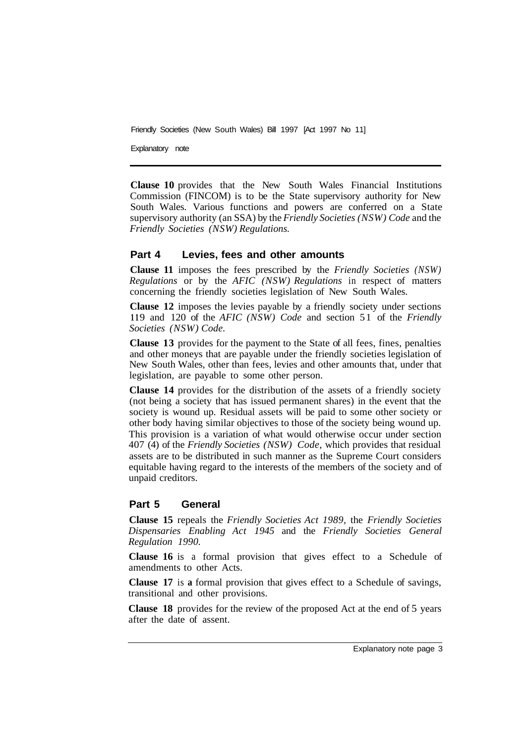Friendly Societies (New South Wales) Bill 1997 [Act 1997 No 11]

Explanatory note

**Clause 10** provides that the New South Wales Financial Institutions Commission (FINCOM) is to be the State supervisory authority for New South Wales. Various functions and powers are conferred on a State supervisory authority (an SSA) by the *Friendly Societies (NSW) Code* and the *Friendly Societies (NSW) Regulations.* 

#### **Part 4 Levies, fees and other amounts**

**Clause 11** imposes the fees prescribed by the *Friendly Societies (NSW) Regulations* or by the *AFIC (NSW) Regulations* in respect of matters concerning the friendly societies legislation of New South Wales.

**Clause 12** imposes the levies payable by a friendly society under sections **<sup>11</sup>**9 and 120 of the *AFIC (NSW) Code* and section 5 1 of the *Friendly Societies (NSW) Code.* 

**Clause 13** provides for the payment to the State of all fees, fines, penalties and other moneys that are payable under the friendly societies legislation of New South Wales, other than fees, levies and other amounts that, under that legislation, are payable to some other person.

**Clause 14** provides for the distribution of the assets of a friendly society (not being a society that has issued permanent shares) in the event that the society is wound up. Residual assets will be paid to some other society or other body having similar objectives to those of the society being wound up. This provision is a variation of what would otherwise occur under section 407 (4) of the *Friendly Societies (NSW) Code,* which provides that residual assets are to be distributed in such manner as the Supreme Court considers equitable having regard to the interests of the members of the society and of unpaid creditors.

#### **Part 5 General**

**Clause 15** repeals the *Friendly Societies Act 1989,* the *Friendly Societies Dispensaries Enabling Act 1945* and the *Friendly Societies General Regulation 1990.* 

**Clause 16** is a formal provision that gives effect to a Schedule of amendments to other Acts.

**Clause 17** is **a** formal provision that gives effect to a Schedule of savings, transitional and other provisions.

**Clause 18** provides for the review of the proposed Act at the end of 5 years after the date of assent.